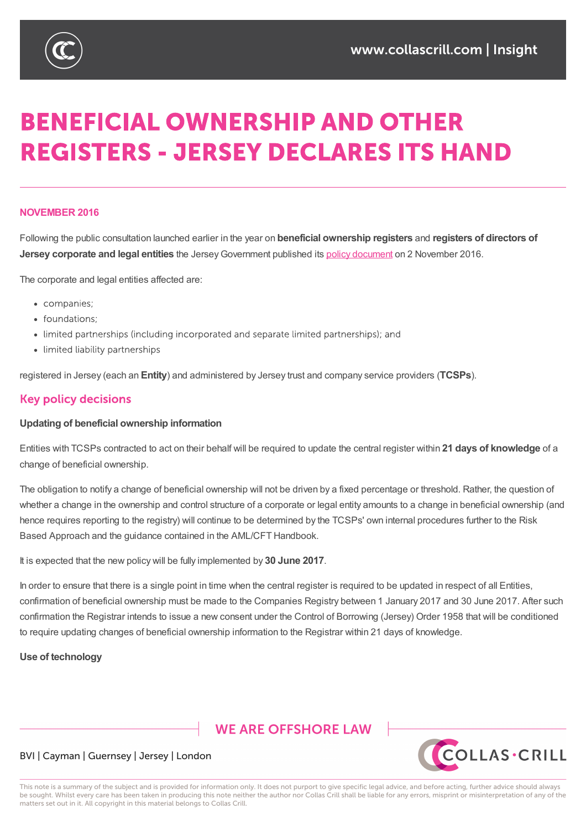

# **BENEFICIAL OWNERSHIP AND OTHER REGISTERS - JERSEY DECLARES ITS HAND**

#### **NOVEMBER 2016**

Following the public consultation launched earlier in the year on **beneficial ownership registers** and **registers of directors of Jersey corporate and legal entities** the JerseyGovernment published its policy document on 2 November 2016.

The corporate and legal entities affected are:

- companies;
- · foundations:
- limited partnerships (including incorporated and separate limited partnerships); and
- limited liability partnerships

registered in Jersey (each an **Entity**) and administered by Jersey trust and company service providers (**TCSPs**).

## **Key policy decisions**

#### **Updating of beneficial ownership information**

Entities with TCSPs contracted to act on their behalf will be required to update the central register within **21 days of knowledge** of a change of beneficial ownership.

The obligation to notify a change of beneficial ownership will not be driven by a fixed percentage or threshold. Rather, the question of whether a change in the ownership and control structure of a corporate or legal entity amounts to a change in beneficial ownership (and hence requires reporting to the registry) will continue to be determined by the TCSPs' own internal procedures further to the Risk Based Approach and the guidance contained in the AML/CFT Handbook.

It is expected that the new policy will be fully implemented by **30 June 2017**.

In order to ensure that there is a single point in time when the central register is required to be updated in respect of all Entities, confirmation of beneficial ownership must be made to the Companies Registry between 1 January 2017 and 30 June 2017. After such confirmation the Registrar intends to issue a new consent under the Control of Borrowing (Jersey) Order 1958 that will be conditioned to require updating changes of beneficial ownership information to the Registrar within 21 days of knowledge.

#### **Use of technology**

## **WE ARE OFFSHORE LAW**



#### BVI | Cayman | Guernsey | Jersey | London

This note is a summary of the subject and is provided for information only. It does not purport to give specific legal advice, and before acting, further advice should always be sought. Whilst every care has been taken in producing this note neither the author nor Collas Crill shall be liable for any errors, misprint or misinterpretation of any of the matters set out in it. All copyright in this material belongs to Collas Crill.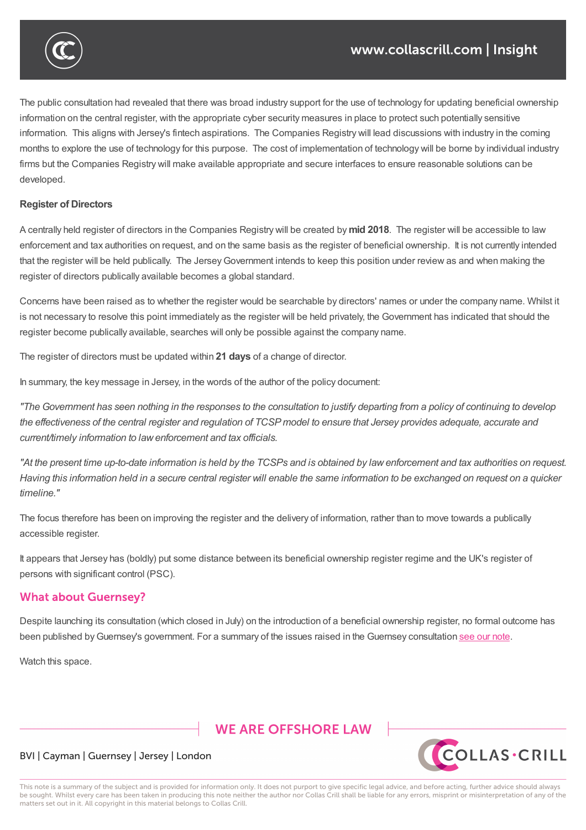

The public consultation had revealed that there was broad industry support for the use of technology for updating beneficial ownership information on the central register, with the appropriate cyber security measures in place to protect such potentially sensitive information. This aligns with Jersey's fintech aspirations. The Companies Registry will lead discussions with industry in the coming months to explore the use of technology for this purpose. The cost of implementation of technology will be borne by individual industry firms but the Companies Registry will make available appropriate and secure interfaces to ensure reasonable solutions can be developed.

#### **Register of Directors**

A centrally held register of directors in the Companies Registry will be created by **mid 2018**. The register will be accessible to law enforcement and tax authorities on request, and on the same basis as the register of beneficial ownership. It is not currently intended that the register will be held publically. The Jersey Government intends to keep this position under review as and when making the register of directors publically available becomes a global standard.

Concerns have been raised as to whether the register would be searchable by directors' names or under the company name. Whilst it is not necessary to resolve this point immediately as the register will be held privately, the Government has indicated that should the register become publically available, searches will only be possible against the company name.

The register of directors must be updated within **21 days** of a change of director.

In summary, the key message in Jersey, in the words of the author of the policy document:

"The Government has seen nothing in the responses to the consultation to justify departing from a policy of continuing to develop the effectiveness of the central register and regulation of TCSP model to ensure that Jersey provides adequate, accurate and *current/timely information to lawenforcement and tax officials.*

"At the present time up-to-date information is held by the TCSPs and is obtained by law enforcement and tax authorities on request. Having this information held in a secure central register will enable the same information to be exchanged on request on a quicker *timeline."*

The focus therefore has been on improving the register and the delivery of information, rather than to move towards a publically accessible register.

It appears that Jersey has (boldly) put some distance between its beneficial ownership register regime and the UK's register of persons with significant control (PSC).

## **What about Guernsey?**

Despite launching its consultation (which closed in July) on the introduction of a beneficial ownership register, no formal outcome has been published by Guernsey's government. For a summary of the issues raised in the Guernsey consultation see our note.

Watch this space.

## **WE ARE OFFSHORE LAW**



#### BVI | Cayman | Guernsey | Jersey | London

This note is a summary of the subject and is provided for information only. It does not purport to give specific legal advice, and before acting, further advice should always be sought. Whilst every care has been taken in producing this note neither the author nor Collas Crill shall be liable for any errors, misprint or misinterpretation of any of the matters set out in it. All copyright in this material belongs to Collas Crill.